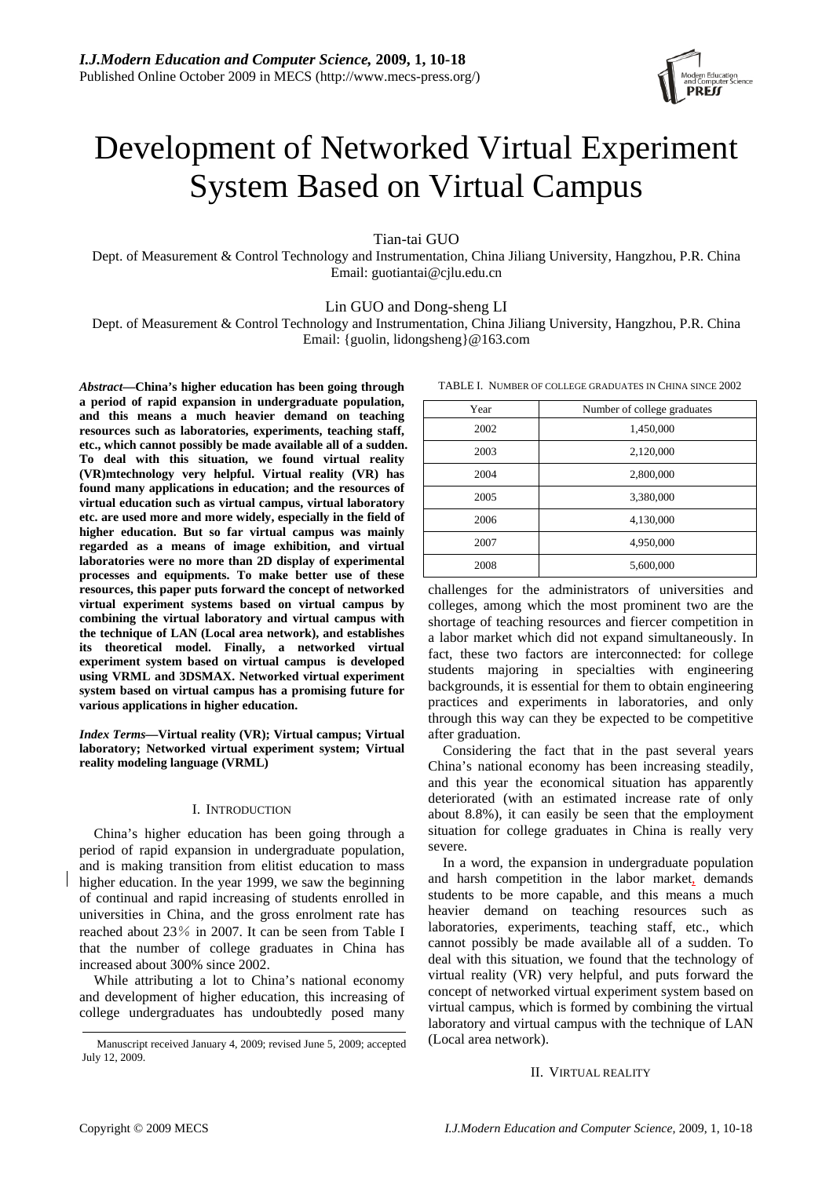# Development of Networked Virtual Experiment System Based on Virtual Campus

Tian-tai GUO

Dept. of Measurement & Control Technology and Instrumentation, China Jiliang University, Hangzhou, P.R. China Email: guotiantai@cjlu.edu.cn

Lin GUO and Dong-sheng LI

Dept. of Measurement & Control Technology and Instrumentation, China Jiliang University, Hangzhou, P.R. China Email: {guolin, lidongsheng}@163.com

*Abstract***—China's higher education has been going through a period of rapid expansion in undergraduate population, and this means a much heavier demand on teaching resources such as laboratories, experiments, teaching staff, etc., which cannot possibly be made available all of a sudden. To deal with this situation, we found virtual reality (VR)mtechnology very helpful. Virtual reality (VR) has found many applications in education; and the resources of virtual education such as virtual campus, virtual laboratory etc. are used more and more widely, especially in the field of higher education. But so far virtual campus was mainly regarded as a means of image exhibition, and virtual laboratories were no more than 2D display of experimental processes and equipments. To make better use of these resources, this paper puts forward the concept of networked virtual experiment systems based on virtual campus by combining the virtual laboratory and virtual campus with the technique of LAN (Local area network), and establishes its theoretical model. Finally, a networked virtual experiment system based on virtual campus is developed using VRML and 3DSMAX. Networked virtual experiment system based on virtual campus has a promising future for various applications in higher education.** 

*Index Terms***—Virtual reality (VR); Virtual campus; Virtual laboratory; Networked virtual experiment system; Virtual reality modeling language (VRML)** 

## I. INTRODUCTION

China's higher education has been going through a period of rapid expansion in undergraduate population, and is making transition from elitist education to mass higher education. In the year 1999, we saw the beginning of continual and rapid increasing of students enrolled in universities in China, and the gross enrolment rate has reached about 23% in 2007. It can be seen from Table I that the number of college graduates in China has increased about 300% since 2002.

While attributing a lot to China's national economy and development of higher education, this increasing of college undergraduates has undoubtedly posed many

|  | TABLE I. NUMBER OF COLLEGE GRADUATES IN CHINA SINCE 2002 |  |
|--|----------------------------------------------------------|--|
|  |                                                          |  |

| Number of college graduates |
|-----------------------------|
| 1,450,000                   |
| 2,120,000                   |
| 2,800,000                   |
| 3,380,000                   |
| 4,130,000                   |
| 4,950,000                   |
| 5,600,000                   |
|                             |

challenges for the administrators of universities and colleges, among which the most prominent two are the shortage of teaching resources and fiercer competition in a labor market which did not expand simultaneously. In fact, these two factors are interconnected: for college students majoring in specialties with engineering backgrounds, it is essential for them to obtain engineering practices and experiments in laboratories, and only through this way can they be expected to be competitive after graduation.

Considering the fact that in the past several years China's national economy has been increasing steadily, and this year the economical situation has apparently deteriorated (with an estimated increase rate of only about 8.8%), it can easily be seen that the employment situation for college graduates in China is really very severe.

In a word, the expansion in undergraduate population and harsh competition in the labor market, demands students to be more capable, and this means a much heavier demand on teaching resources such as laboratories, experiments, teaching staff, etc., which cannot possibly be made available all of a sudden. To deal with this situation, we found that the technology of virtual reality (VR) very helpful, and puts forward the concept of networked virtual experiment system based on virtual campus, which is formed by combining the virtual laboratory and virtual campus with the technique of LAN (Local area network).

# II. VIRTUAL REALITY



Manuscript received January 4, 2009; revised June 5, 2009; accepted July 12, 2009.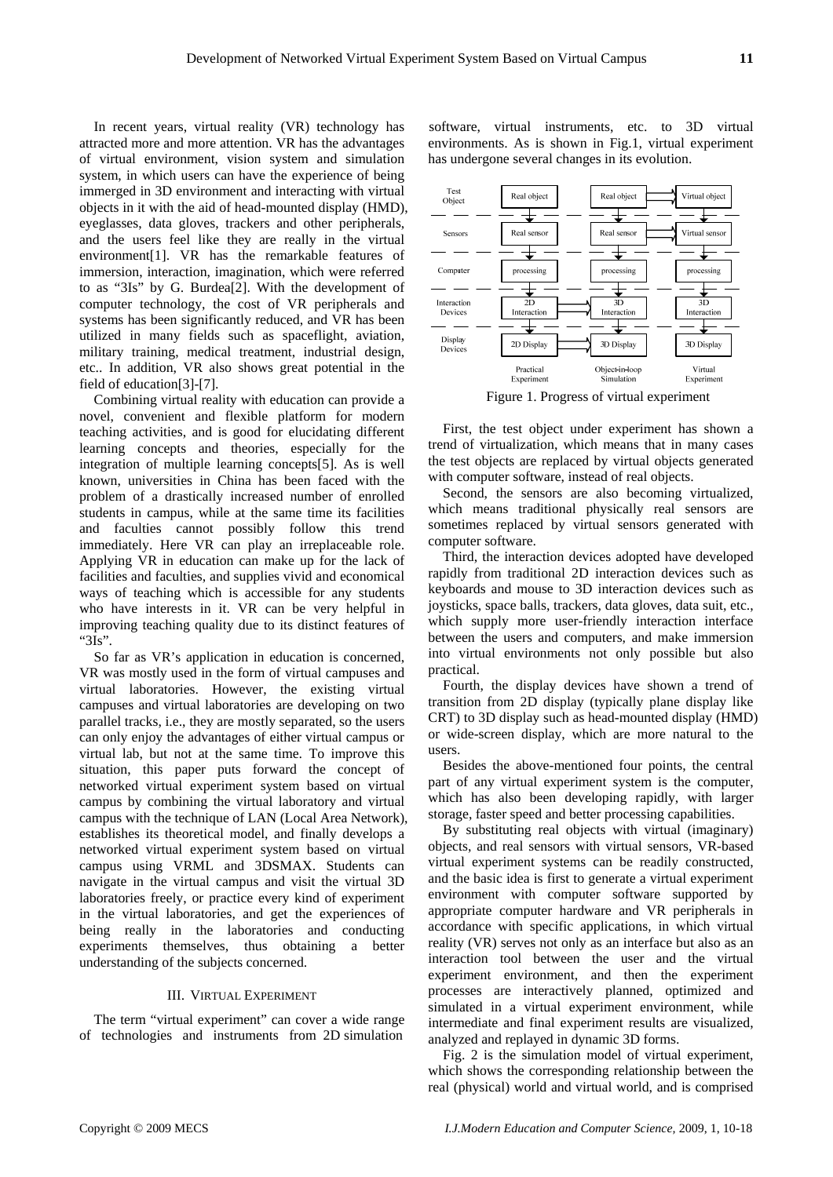In recent years, virtual reality (VR) technology has attracted more and more attention. VR has the advantages of virtual environment, vision system and simulation system, in which users can have the experience of being immerged in 3D environment and interacting with virtual objects in it with the aid of head-mounted display (HMD), eyeglasses, data gloves, trackers and other peripherals, and the users feel like they are really in the virtual environment[1]. VR has the remarkable features of immersion, interaction, imagination, which were referred to as "3Is" by G. Burdea[2]. With the development of computer technology, the cost of VR peripherals and systems has been significantly reduced, and VR has been utilized in many fields such as spaceflight, aviation, military training, medical treatment, industrial design, etc.. In addition, VR also shows great potential in the field of education[3]-[7].

Combining virtual reality with education can provide a novel, convenient and flexible platform for modern teaching activities, and is good for elucidating different learning concepts and theories, especially for the integration of multiple learning concepts[5]. As is well known, universities in China has been faced with the problem of a drastically increased number of enrolled students in campus, while at the same time its facilities and faculties cannot possibly follow this trend immediately. Here VR can play an irreplaceable role. Applying VR in education can make up for the lack of facilities and faculties, and supplies vivid and economical ways of teaching which is accessible for any students who have interests in it. VR can be very helpful in improving teaching quality due to its distinct features of "3Is".

So far as VR's application in education is concerned, VR was mostly used in the form of virtual campuses and virtual laboratories. However, the existing virtual campuses and virtual laboratories are developing on two parallel tracks, i.e., they are mostly separated, so the users can only enjoy the advantages of either virtual campus or virtual lab, but not at the same time. To improve this situation, this paper puts forward the concept of networked virtual experiment system based on virtual campus by combining the virtual laboratory and virtual campus with the technique of LAN (Local Area Network), establishes its theoretical model, and finally develops a networked virtual experiment system based on virtual campus using VRML and 3DSMAX. Students can navigate in the virtual campus and visit the virtual 3D laboratories freely, or practice every kind of experiment in the virtual laboratories, and get the experiences of being really in the laboratories and conducting experiments themselves, thus obtaining a better understanding of the subjects concerned.

## III. VIRTUAL EXPERIMENT

The term "virtual experiment" can cover a wide range of technologies and instruments from 2D simulation

software, virtual instruments, etc. to 3D virtual environments. As is shown in Fig.1, virtual experiment has undergone several changes in its evolution.



Figure 1. Progress of virtual experiment

First, the test object under experiment has shown a trend of virtualization, which means that in many cases the test objects are replaced by virtual objects generated with computer software, instead of real objects.

Second, the sensors are also becoming virtualized, which means traditional physically real sensors are sometimes replaced by virtual sensors generated with computer software.

Third, the interaction devices adopted have developed rapidly from traditional 2D interaction devices such as keyboards and mouse to 3D interaction devices such as joysticks, space balls, trackers, data gloves, data suit, etc., which supply more user-friendly interaction interface between the users and computers, and make immersion into virtual environments not only possible but also practical.

Fourth, the display devices have shown a trend of transition from 2D display (typically plane display like CRT) to 3D display such as head-mounted display (HMD) or wide-screen display, which are more natural to the users.

Besides the above-mentioned four points, the central part of any virtual experiment system is the computer, which has also been developing rapidly, with larger storage, faster speed and better processing capabilities.

By substituting real objects with virtual (imaginary) objects, and real sensors with virtual sensors, VR-based virtual experiment systems can be readily constructed, and the basic idea is first to generate a virtual experiment environment with computer software supported by appropriate computer hardware and VR peripherals in accordance with specific applications, in which virtual reality (VR) serves not only as an interface but also as an interaction tool between the user and the virtual experiment environment, and then the experiment processes are interactively planned, optimized and simulated in a virtual experiment environment, while intermediate and final experiment results are visualized, analyzed and replayed in dynamic 3D forms.

Fig. 2 is the simulation model of virtual experiment, which shows the corresponding relationship between the real (physical) world and virtual world, and is comprised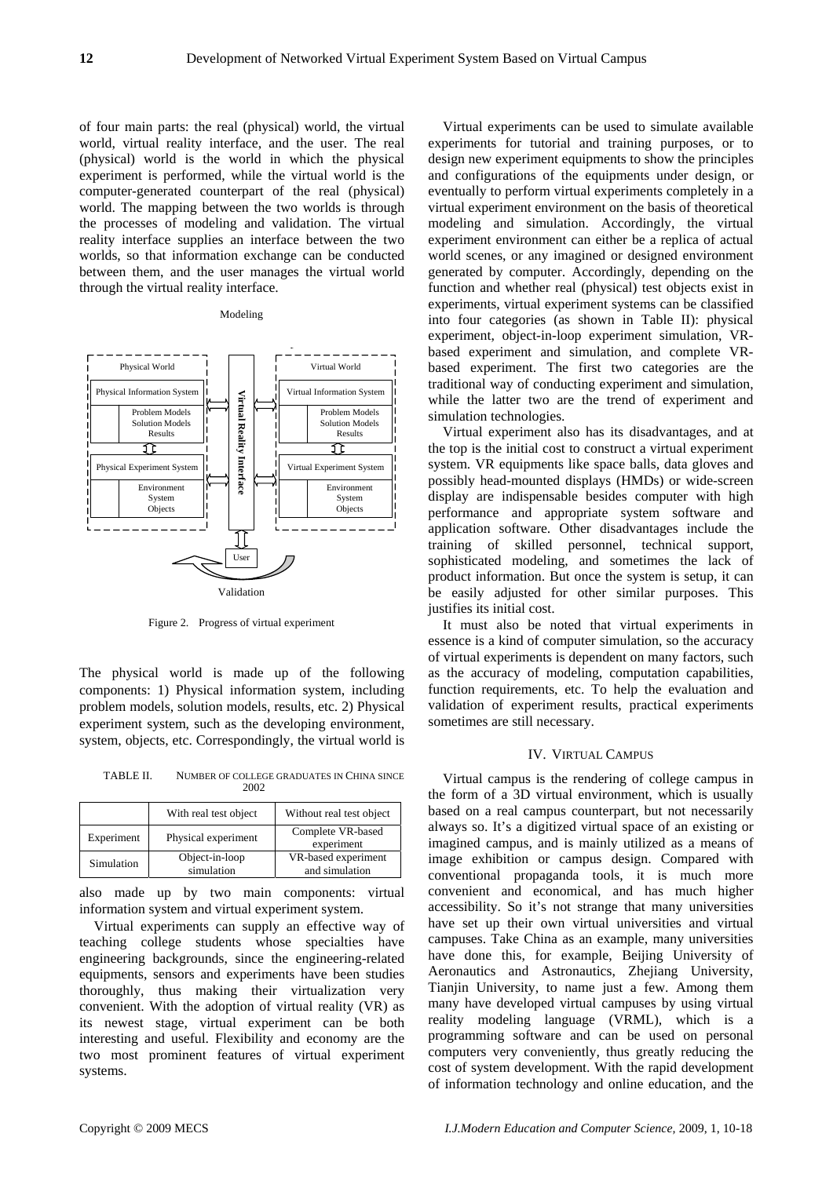of four main parts: the real (physical) world, the virtual world, virtual reality interface, and the user. The real (physical) world is the world in which the physical experiment is performed, while the virtual world is the computer-generated counterpart of the real (physical) world. The mapping between the two worlds is through the processes of modeling and validation. The virtual reality interface supplies an interface between the two worlds, so that information exchange can be conducted between them, and the user manages the virtual world through the virtual reality interface.

#### Modeling



Figure 2. Progress of virtual experiment

The physical world is made up of the following components: 1) Physical information system, including problem models, solution models, results, etc. 2) Physical experiment system, such as the developing environment, system, objects, etc. Correspondingly, the virtual world is

TABLE II. NUMBER OF COLLEGE GRADUATES IN CHINA SINCE 2002

|            | With real test object        | Without real test object              |
|------------|------------------------------|---------------------------------------|
| Experiment | Physical experiment          | Complete VR-based<br>experiment       |
| Simulation | Object-in-loop<br>simulation | VR-based experiment<br>and simulation |

also made up by two main components: virtual information system and virtual experiment system.

Virtual experiments can supply an effective way of teaching college students whose specialties have engineering backgrounds, since the engineering-related equipments, sensors and experiments have been studies thoroughly, thus making their virtualization very convenient. With the adoption of virtual reality (VR) as its newest stage, virtual experiment can be both interesting and useful. Flexibility and economy are the two most prominent features of virtual experiment systems.

Virtual experiments can be used to simulate available experiments for tutorial and training purposes, or to design new experiment equipments to show the principles and configurations of the equipments under design, or eventually to perform virtual experiments completely in a virtual experiment environment on the basis of theoretical modeling and simulation. Accordingly, the virtual experiment environment can either be a replica of actual world scenes, or any imagined or designed environment generated by computer. Accordingly, depending on the function and whether real (physical) test objects exist in experiments, virtual experiment systems can be classified into four categories (as shown in Table II): physical experiment, object-in-loop experiment simulation, VRbased experiment and simulation, and complete VRbased experiment. The first two categories are the traditional way of conducting experiment and simulation, while the latter two are the trend of experiment and simulation technologies.

Virtual experiment also has its disadvantages, and at the top is the initial cost to construct a virtual experiment system. VR equipments like space balls, data gloves and possibly head-mounted displays (HMDs) or wide-screen display are indispensable besides computer with high performance and appropriate system software and application software. Other disadvantages include the training of skilled personnel, technical support, sophisticated modeling, and sometimes the lack of product information. But once the system is setup, it can be easily adjusted for other similar purposes. This justifies its initial cost.

It must also be noted that virtual experiments in essence is a kind of computer simulation, so the accuracy of virtual experiments is dependent on many factors, such as the accuracy of modeling, computation capabilities, function requirements, etc. To help the evaluation and validation of experiment results, practical experiments sometimes are still necessary.

#### IV. VIRTUAL CAMPUS

Virtual campus is the rendering of college campus in the form of a 3D virtual environment, which is usually based on a real campus counterpart, but not necessarily always so. It's a digitized virtual space of an existing or imagined campus, and is mainly utilized as a means of image exhibition or campus design. Compared with conventional propaganda tools, it is much more convenient and economical, and has much higher accessibility. So it's not strange that many universities have set up their own virtual universities and virtual campuses. Take China as an example, many universities have done this, for example, Beijing University of Aeronautics and Astronautics, Zhejiang University, Tianjin University, to name just a few. Among them many have developed virtual campuses by using virtual reality modeling language (VRML), which is a programming software and can be used on personal computers very conveniently, thus greatly reducing the cost of system development. With the rapid development of information technology and online education, and the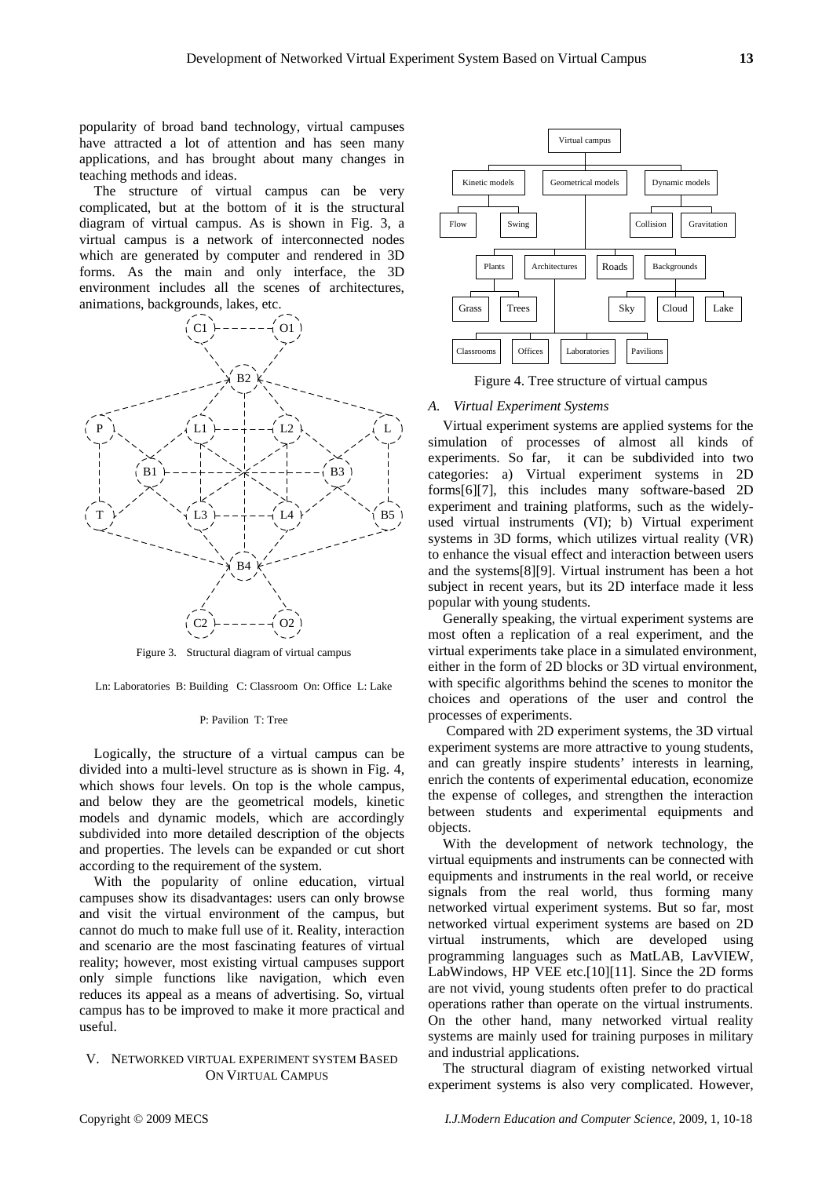popularity of broad band technology, virtual campuses have attracted a lot of attention and has seen many applications, and has brought about many changes in teaching methods and ideas.

The structure of virtual campus can be very complicated, but at the bottom of it is the structural diagram of virtual campus. As is shown in Fig. 3, a virtual campus is a network of interconnected nodes which are generated by computer and rendered in 3D forms. As the main and only interface, the 3D environment includes all the scenes of architectures, animations, backgrounds, lakes, etc.



Figure 3. Structural diagram of virtual campus

Ln: Laboratories B: Building C: Classroom On: Office L: Lake

#### P: Pavilion T: Tree

Logically, the structure of a virtual campus can be divided into a multi-level structure as is shown in Fig. 4, which shows four levels. On top is the whole campus, and below they are the geometrical models, kinetic models and dynamic models, which are accordingly subdivided into more detailed description of the objects and properties. The levels can be expanded or cut short according to the requirement of the system.

With the popularity of online education, virtual campuses show its disadvantages: users can only browse and visit the virtual environment of the campus, but cannot do much to make full use of it. Reality, interaction and scenario are the most fascinating features of virtual reality; however, most existing virtual campuses support only simple functions like navigation, which even reduces its appeal as a means of advertising. So, virtual campus has to be improved to make it more practical and useful.

# V. NETWORKED VIRTUAL EXPERIMENT SYSTEM BASED ON VIRTUAL CAMPUS



Figure 4. Tree structure of virtual campus

#### *A. Virtual Experiment Systems*

Virtual experiment systems are applied systems for the simulation of processes of almost all kinds of experiments. So far, it can be subdivided into two categories: a) Virtual experiment systems in 2D forms[6][7], this includes many software-based 2D experiment and training platforms, such as the widelyused virtual instruments (VI); b) Virtual experiment systems in 3D forms, which utilizes virtual reality (VR) to enhance the visual effect and interaction between users and the systems[8][9]. Virtual instrument has been a hot subject in recent years, but its 2D interface made it less popular with young students.

Generally speaking, the virtual experiment systems are most often a replication of a real experiment, and the virtual experiments take place in a simulated environment, either in the form of 2D blocks or 3D virtual environment, with specific algorithms behind the scenes to monitor the choices and operations of the user and control the processes of experiments.

 Compared with 2D experiment systems, the 3D virtual experiment systems are more attractive to young students, and can greatly inspire students' interests in learning, enrich the contents of experimental education, economize the expense of colleges, and strengthen the interaction between students and experimental equipments and objects.

With the development of network technology, the virtual equipments and instruments can be connected with equipments and instruments in the real world, or receive signals from the real world, thus forming many networked virtual experiment systems. But so far, most networked virtual experiment systems are based on 2D virtual instruments, which are developed using programming languages such as MatLAB, LavVIEW, LabWindows, HP VEE etc.[10][11]. Since the 2D forms are not vivid, young students often prefer to do practical operations rather than operate on the virtual instruments. On the other hand, many networked virtual reality systems are mainly used for training purposes in military and industrial applications.

The structural diagram of existing networked virtual experiment systems is also very complicated. However,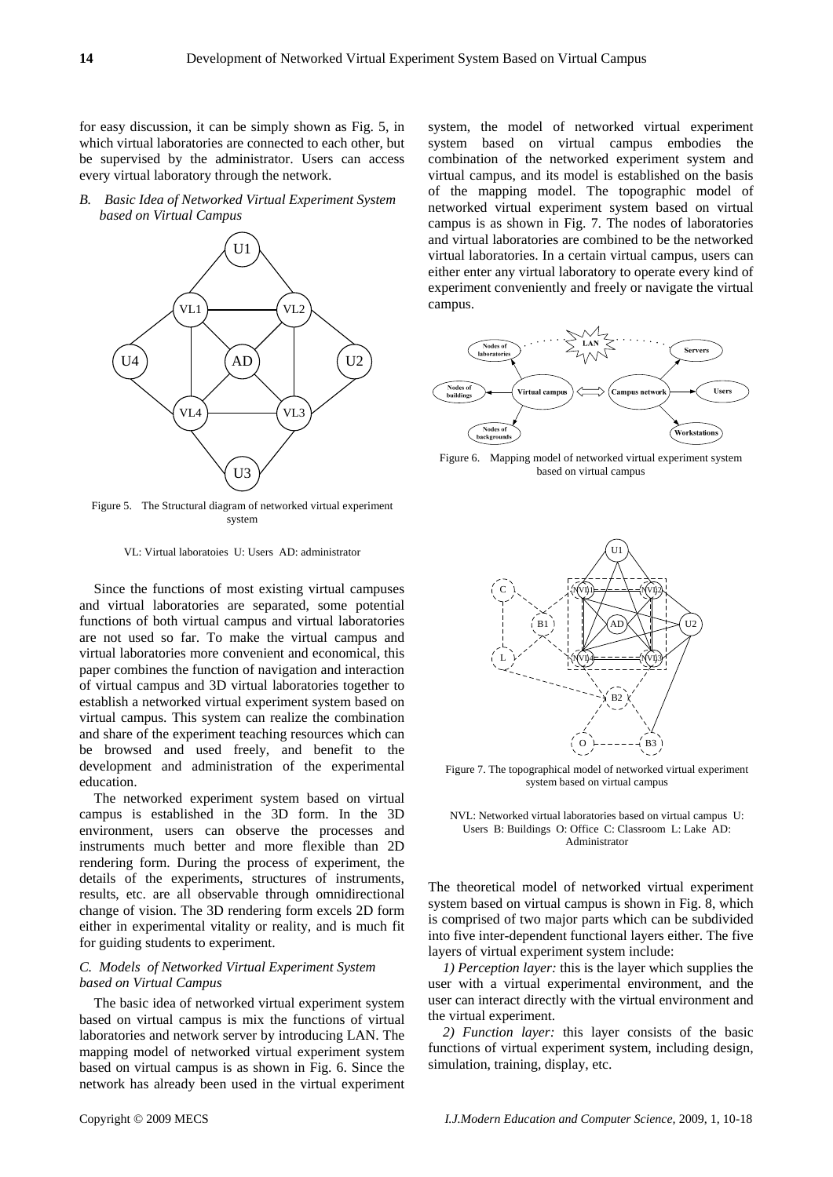for easy discussion, it can be simply shown as Fig. 5, in which virtual laboratories are connected to each other, but be supervised by the administrator. Users can access every virtual laboratory through the network.

*B. Basic Idea of Networked Virtual Experiment System based on Virtual Campus* 



Figure 5. The Structural diagram of networked virtual experiment system

VL: Virtual laboratoies U: Users AD: administrator

Since the functions of most existing virtual campuses and virtual laboratories are separated, some potential functions of both virtual campus and virtual laboratories are not used so far. To make the virtual campus and virtual laboratories more convenient and economical, this paper combines the function of navigation and interaction of virtual campus and 3D virtual laboratories together to establish a networked virtual experiment system based on virtual campus. This system can realize the combination and share of the experiment teaching resources which can be browsed and used freely, and benefit to the development and administration of the experimental education.

The networked experiment system based on virtual campus is established in the 3D form. In the 3D environment, users can observe the processes and instruments much better and more flexible than 2D rendering form. During the process of experiment, the details of the experiments, structures of instruments, results, etc. are all observable through omnidirectional change of vision. The 3D rendering form excels 2D form either in experimental vitality or reality, and is much fit for guiding students to experiment.

# *C. Models of Networked Virtual Experiment System based on Virtual Campus*

The basic idea of networked virtual experiment system based on virtual campus is mix the functions of virtual laboratories and network server by introducing LAN. The mapping model of networked virtual experiment system based on virtual campus is as shown in Fig. 6. Since the network has already been used in the virtual experiment

system, the model of networked virtual experiment system based on virtual campus embodies the combination of the networked experiment system and virtual campus, and its model is established on the basis of the mapping model. The topographic model of networked virtual experiment system based on virtual campus is as shown in Fig. 7. The nodes of laboratories and virtual laboratories are combined to be the networked virtual laboratories. In a certain virtual campus, users can either enter any virtual laboratory to operate every kind of experiment conveniently and freely or navigate the virtual campus.



Figure 6. Mapping model of networked virtual experiment system based on virtual campus



Figure 7. The topographical model of networked virtual experiment system based on virtual campus



The theoretical model of networked virtual experiment system based on virtual campus is shown in Fig. 8, which is comprised of two major parts which can be subdivided into five inter-dependent functional layers either. The five layers of virtual experiment system include:

*1) Perception layer:* this is the layer which supplies the user with a virtual experimental environment, and the user can interact directly with the virtual environment and the virtual experiment.

*2) Function layer:* this layer consists of the basic functions of virtual experiment system, including design, simulation, training, display, etc.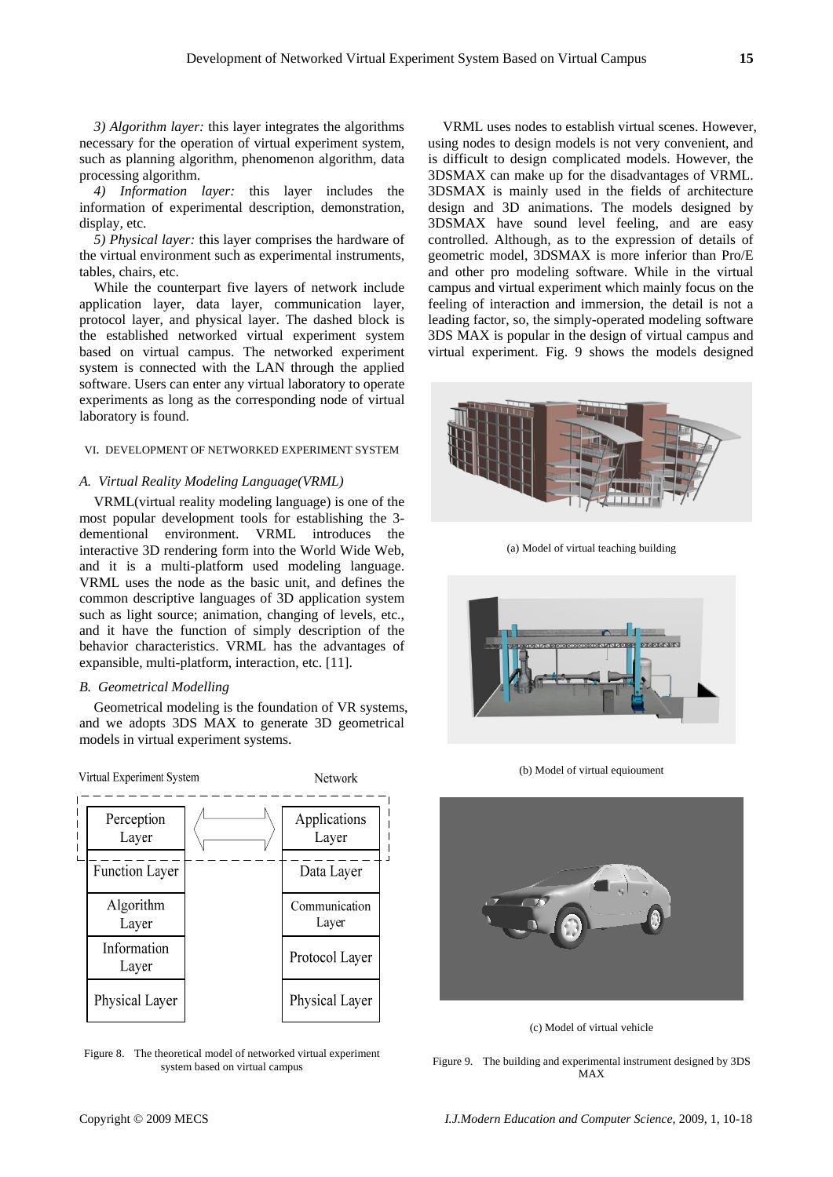*3) Algorithm layer:* this layer integrates the algorithms necessary for the operation of virtual experiment system, such as planning algorithm, phenomenon algorithm, data processing algorithm.

*4) Information layer:* this layer includes the information of experimental description, demonstration, display, etc.

*5) Physical layer:* this layer comprises the hardware of the virtual environment such as experimental instruments, tables, chairs, etc.

While the counterpart five layers of network include application layer, data layer, communication layer, protocol layer, and physical layer. The dashed block is the established networked virtual experiment system based on virtual campus. The networked experiment system is connected with the LAN through the applied software. Users can enter any virtual laboratory to operate experiments as long as the corresponding node of virtual laboratory is found.

## VI. DEVELOPMENT OF NETWORKED EXPERIMENT SYSTEM

## *A. Virtual Reality Modeling Language(VRML)*

VRML(virtual reality modeling language) is one of the most popular development tools for establishing the 3 dementional environment. VRML introduces the interactive 3D rendering form into the World Wide Web, and it is a multi-platform used modeling language. VRML uses the node as the basic unit, and defines the common descriptive languages of 3D application system such as light source; animation, changing of levels, etc., and it have the function of simply description of the behavior characteristics. VRML has the advantages of expansible, multi-platform, interaction, etc. [11].

## *B. Geometrical Modelling*

Geometrical modeling is the foundation of VR systems, and we adopts 3DS MAX to generate 3D geometrical models in virtual experiment systems.



Figure 8. The theoretical model of networked virtual experiment system based on virtual campus

VRML uses nodes to establish virtual scenes. However, using nodes to design models is not very convenient, and is difficult to design complicated models. However, the 3DSMAX can make up for the disadvantages of VRML. 3DSMAX is mainly used in the fields of architecture design and 3D animations. The models designed by 3DSMAX have sound level feeling, and are easy controlled. Although, as to the expression of details of geometric model, 3DSMAX is more inferior than Pro/E and other pro modeling software. While in the virtual campus and virtual experiment which mainly focus on the feeling of interaction and immersion, the detail is not a leading factor, so, the simply-operated modeling software 3DS MAX is popular in the design of virtual campus and virtual experiment. Fig. 9 shows the models designed



(a) Model of virtual teaching building



(b) Model of virtual equioument



(c) Model of virtual vehicle

Figure 9. The building and experimental instrument designed by 3DS MAX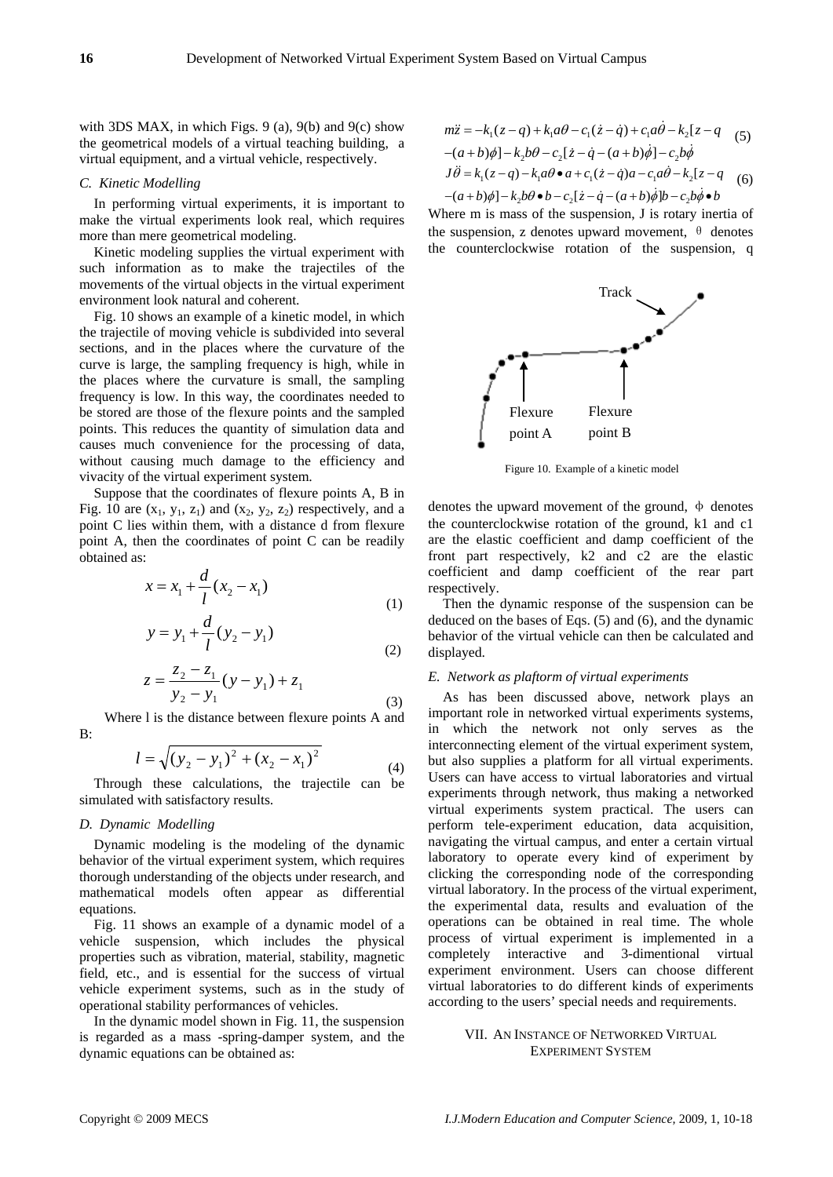with 3DS MAX, in which Figs. 9 (a), 9(b) and 9(c) show the geometrical models of a virtual teaching building, a virtual equipment, and a virtual vehicle, respectively.

# *C. Kinetic Modelling*

In performing virtual experiments, it is important to make the virtual experiments look real, which requires more than mere geometrical modeling.

Kinetic modeling supplies the virtual experiment with such information as to make the trajectiles of the movements of the virtual objects in the virtual experiment environment look natural and coherent.

Fig. 10 shows an example of a kinetic model, in which the trajectile of moving vehicle is subdivided into several sections, and in the places where the curvature of the curve is large, the sampling frequency is high, while in the places where the curvature is small, the sampling frequency is low. In this way, the coordinates needed to be stored are those of the flexure points and the sampled points. This reduces the quantity of simulation data and causes much convenience for the processing of data, without causing much damage to the efficiency and vivacity of the virtual experiment system.

Suppose that the coordinates of flexure points A, B in Fig. 10 are  $(x_1, y_1, z_1)$  and  $(x_2, y_2, z_2)$  respectively, and a point C lies within them, with a distance d from flexure point A, then the coordinates of point C can be readily obtained as:

$$
x = x_1 + \frac{d}{l}(x_2 - x_1)
$$
  
(1)

$$
y = y_1 + \frac{a}{l}(y_2 - y_1)
$$
 (2)

$$
z = \frac{z_2 - z_1}{y_2 - y_1} (y - y_1) + z_1
$$
\n(3)

 Where l is the distance between flexure points A and  $\mathbf{R}$ 

$$
l = \sqrt{(y_2 - y_1)^2 + (x_2 - x_1)^2}
$$
 (4)

Through these calculations, the trajectile can be simulated with satisfactory results.

## *D. Dynamic Modelling*

Dynamic modeling is the modeling of the dynamic behavior of the virtual experiment system, which requires thorough understanding of the objects under research, and mathematical models often appear as differential equations.

Fig. 11 shows an example of a dynamic model of a vehicle suspension, which includes the physical properties such as vibration, material, stability, magnetic field, etc., and is essential for the success of virtual vehicle experiment systems, such as in the study of operational stability performances of vehicles.

In the dynamic model shown in Fig. 11, the suspension is regarded as a mass -spring-damper system, and the dynamic equations can be obtained as:

$$
m\ddot{z} = -k_1(z-q) + k_1a\theta - c_1(\dot{z} - \dot{q}) + c_1a\dot{\theta} - k_2(z-q)
$$
  
 
$$
-(a+b)\dot{\phi} - k_2b\theta - c_2(\dot{z} - \dot{q} - (a+b)\dot{\phi}) - c_2b\dot{\phi}
$$
 (5)

$$
J\ddot{\theta} = k_1(z-q) - k_1a\theta \bullet a + c_1(\dot{z} - \dot{q})a - c_1a\dot{\theta} - k_2[z - q]
$$
  
 
$$
-(a+b)\phi] - k_2b\theta \bullet b - c_2[\dot{z} - \dot{q} - (a+b)\dot{\phi}]b - c_2b\dot{\phi} \bullet b
$$

Where m is mass of the suspension, J is rotary inertia of the suspension, z denotes upward movement,  $\theta$  denotes the counterclockwise rotation of the suspension, q



Figure 10. Example of a kinetic model

denotes the upward movement of the ground,  $\phi$  denotes the counterclockwise rotation of the ground, k1 and c1 are the elastic coefficient and damp coefficient of the front part respectively, k2 and c2 are the elastic coefficient and damp coefficient of the rear part respectively.

Then the dynamic response of the suspension can be deduced on the bases of Eqs. (5) and (6), and the dynamic behavior of the virtual vehicle can then be calculated and displayed.

## *E. Network as plaftorm of virtual experiments*

As has been discussed above, network plays an important role in networked virtual experiments systems, in which the network not only serves as the interconnecting element of the virtual experiment system, but also supplies a platform for all virtual experiments. Users can have access to virtual laboratories and virtual experiments through network, thus making a networked virtual experiments system practical. The users can perform tele-experiment education, data acquisition, navigating the virtual campus, and enter a certain virtual laboratory to operate every kind of experiment by clicking the corresponding node of the corresponding virtual laboratory. In the process of the virtual experiment, the experimental data, results and evaluation of the operations can be obtained in real time. The whole process of virtual experiment is implemented in a completely interactive and 3-dimentional virtual experiment environment. Users can choose different virtual laboratories to do different kinds of experiments according to the users' special needs and requirements.

## VII. AN INSTANCE OF NETWORKED VIRTUAL EXPERIMENT SYSTEM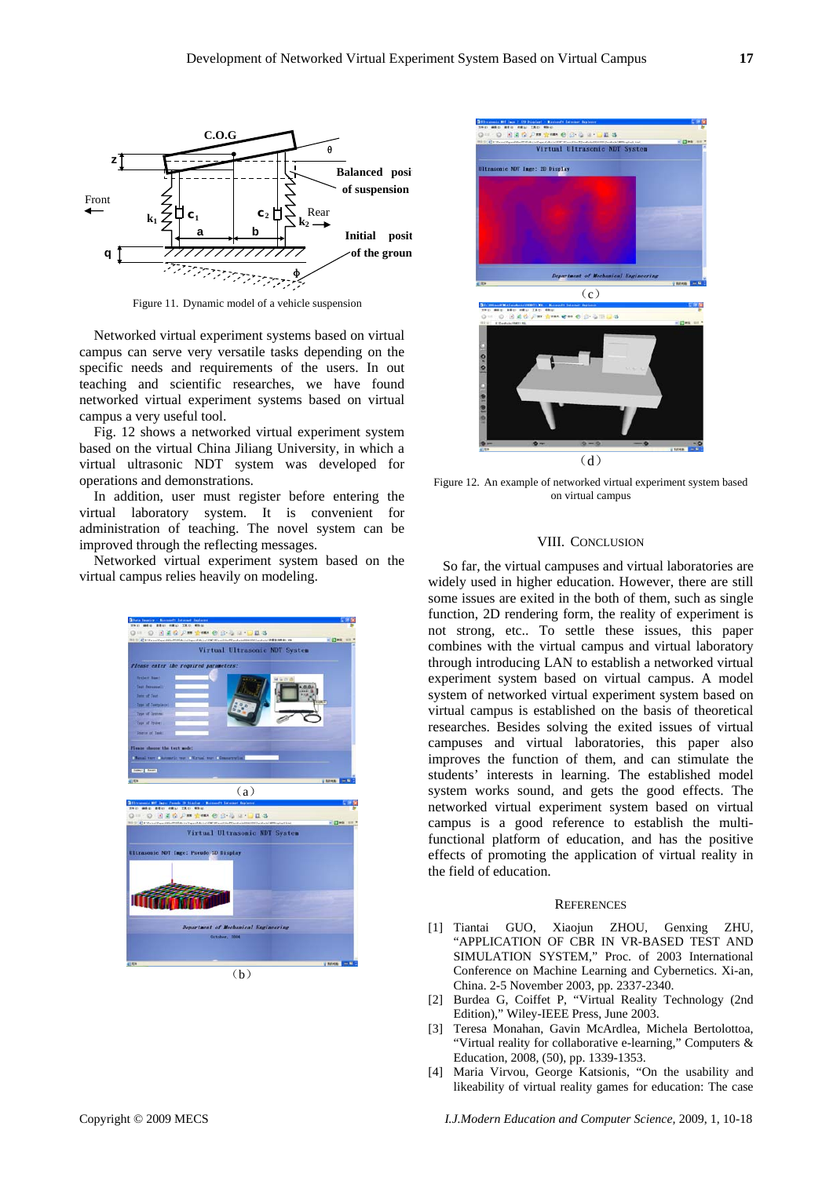

Figure 11. Dynamic model of a vehicle suspension

Networked virtual experiment systems based on virtual campus can serve very versatile tasks depending on the specific needs and requirements of the users. In out teaching and scientific researches, we have found networked virtual experiment systems based on virtual campus a very useful tool.

Fig. 12 shows a networked virtual experiment system based on the virtual China Jiliang University, in which a virtual ultrasonic NDT system was developed for operations and demonstrations.

In addition, user must register before entering the virtual laboratory system. It is convenient for administration of teaching. The novel system can be improved through the reflecting messages.

Networked virtual experiment system based on the virtual campus relies heavily on modeling.





Figure 12. An example of networked virtual experiment system based on virtual campus

## VIII. CONCLUSION

So far, the virtual campuses and virtual laboratories are widely used in higher education. However, there are still some issues are exited in the both of them, such as single function, 2D rendering form, the reality of experiment is not strong, etc.. To settle these issues, this paper combines with the virtual campus and virtual laboratory through introducing LAN to establish a networked virtual experiment system based on virtual campus. A model system of networked virtual experiment system based on virtual campus is established on the basis of theoretical researches. Besides solving the exited issues of virtual campuses and virtual laboratories, this paper also improves the function of them, and can stimulate the students' interests in learning. The established model system works sound, and gets the good effects. The networked virtual experiment system based on virtual campus is a good reference to establish the multifunctional platform of education, and has the positive effects of promoting the application of virtual reality in the field of education.

## **REFERENCES**

- [1] Tiantai GUO, Xiaojun ZHOU, Genxing ZHU, "APPLICATION OF CBR IN VR-BASED TEST AND SIMULATION SYSTEM," Proc. of 2003 International Conference on Machine Learning and Cybernetics. Xi-an, China. 2-5 November 2003, pp. 2337-2340.
- [2] Burdea G, Coiffet P, "Virtual Reality Technology (2nd Edition)," Wiley-IEEE Press, June 2003.
- [3] Teresa Monahan, Gavin McArdlea, Michela Bertolottoa, "Virtual reality for collaborative e-learning," Computers & Education, 2008, (50), pp. 1339-1353.
- [4] Maria Virvou, George Katsionis, "On the usability and likeability of virtual reality games for education: The case